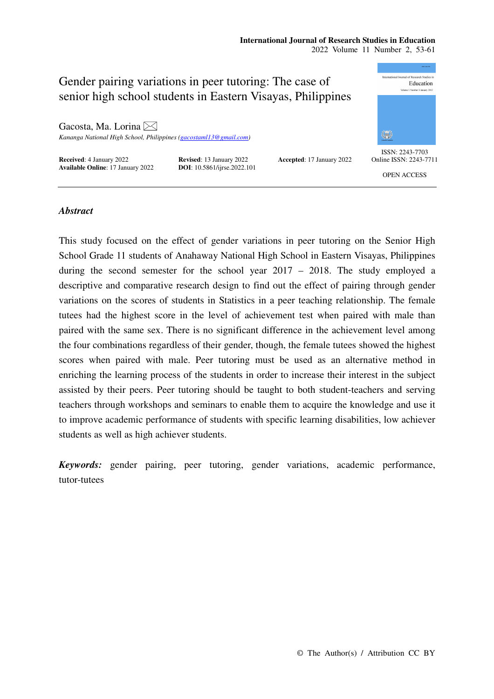# **International Journal of Research Studies in Education**

2022 Volume 11 Number 2, 53-61

## ational Journal of Research Studies in Gender pairing variations in peer tutoring: The case of Education senior high school students in Eastern Visayas, Philippines Gacosta, Ma. Lorina ₩ *Kananga National High School, Philippines (gacostaml13@gmail.com)*  ISSN: 2243-7703 **Received**: 4 January 2022<br> **Revised**: 13 January 2022<br> **Accepted**: 17 January 2022<br> **DOI**: 10.5861/ijrse.2022.101 Online ISSN: 2243-7711 **Available Online**: 17 January 2022. OPEN ACCESS

## *Abstract*

This study focused on the effect of gender variations in peer tutoring on the Senior High School Grade 11 students of Anahaway National High School in Eastern Visayas, Philippines during the second semester for the school year 2017 – 2018. The study employed a descriptive and comparative research design to find out the effect of pairing through gender variations on the scores of students in Statistics in a peer teaching relationship. The female tutees had the highest score in the level of achievement test when paired with male than paired with the same sex. There is no significant difference in the achievement level among the four combinations regardless of their gender, though, the female tutees showed the highest scores when paired with male. Peer tutoring must be used as an alternative method in enriching the learning process of the students in order to increase their interest in the subject assisted by their peers. Peer tutoring should be taught to both student-teachers and serving teachers through workshops and seminars to enable them to acquire the knowledge and use it to improve academic performance of students with specific learning disabilities, low achiever students as well as high achiever students.

*Keywords:* gender pairing, peer tutoring, gender variations, academic performance, tutor-tutees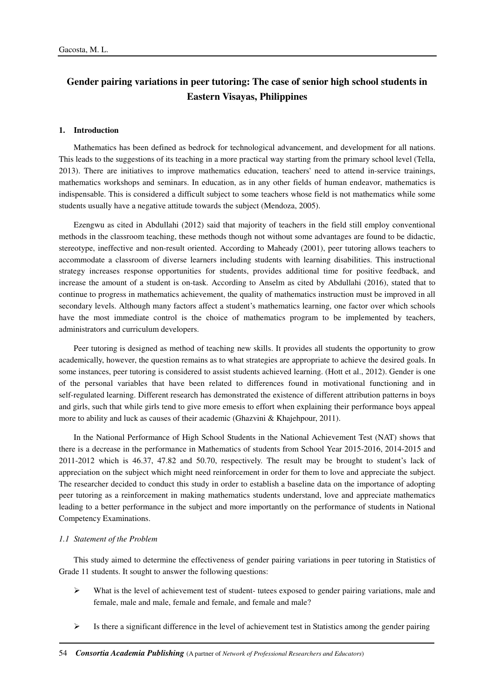# **Gender pairing variations in peer tutoring: The case of senior high school students in Eastern Visayas, Philippines**

#### **1. Introduction**

Mathematics has been defined as bedrock for technological advancement, and development for all nations. This leads to the suggestions of its teaching in a more practical way starting from the primary school level (Tella, 2013). There are initiatives to improve mathematics education, teachers' need to attend in-service trainings, mathematics workshops and seminars. In education, as in any other fields of human endeavor, mathematics is indispensable. This is considered a difficult subject to some teachers whose field is not mathematics while some students usually have a negative attitude towards the subject (Mendoza, 2005).

Ezengwu as cited in Abdullahi (2012) said that majority of teachers in the field still employ conventional methods in the classroom teaching, these methods though not without some advantages are found to be didactic, stereotype, ineffective and non-result oriented. According to Maheady (2001), peer tutoring allows teachers to accommodate a classroom of diverse learners including students with learning disabilities. This instructional strategy increases response opportunities for students, provides additional time for positive feedback, and increase the amount of a student is on-task. According to Anselm as cited by Abdullahi (2016), stated that to continue to progress in mathematics achievement, the quality of mathematics instruction must be improved in all secondary levels. Although many factors affect a student's mathematics learning, one factor over which schools have the most immediate control is the choice of mathematics program to be implemented by teachers, administrators and curriculum developers.

Peer tutoring is designed as method of teaching new skills. It provides all students the opportunity to grow academically, however, the question remains as to what strategies are appropriate to achieve the desired goals. In some instances, peer tutoring is considered to assist students achieved learning. (Hott et al., 2012). Gender is one of the personal variables that have been related to differences found in motivational functioning and in self-regulated learning. Different research has demonstrated the existence of different attribution patterns in boys and girls, such that while girls tend to give more emesis to effort when explaining their performance boys appeal more to ability and luck as causes of their academic (Ghazvini & Khajehpour, 2011).

In the National Performance of High School Students in the National Achievement Test (NAT) shows that there is a decrease in the performance in Mathematics of students from School Year 2015-2016, 2014-2015 and 2011-2012 which is 46.37, 47.82 and 50.70, respectively. The result may be brought to student's lack of appreciation on the subject which might need reinforcement in order for them to love and appreciate the subject. The researcher decided to conduct this study in order to establish a baseline data on the importance of adopting peer tutoring as a reinforcement in making mathematics students understand, love and appreciate mathematics leading to a better performance in the subject and more importantly on the performance of students in National Competency Examinations.

## *1.1 Statement of the Problem*

This study aimed to determine the effectiveness of gender pairing variations in peer tutoring in Statistics of Grade 11 students. It sought to answer the following questions:

- $\triangleright$  What is the level of achievement test of student- tutees exposed to gender pairing variations, male and female, male and male, female and female, and female and male?
- $\triangleright$  Is there a significant difference in the level of achievement test in Statistics among the gender pairing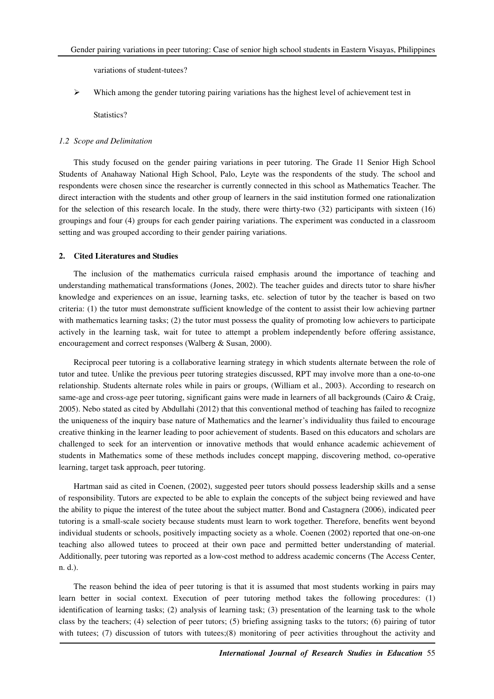variations of student-tutees?

 $\triangleright$  Which among the gender tutoring pairing variations has the highest level of achievement test in

Statistics?

## *1.2 Scope and Delimitation*

This study focused on the gender pairing variations in peer tutoring. The Grade 11 Senior High School Students of Anahaway National High School, Palo, Leyte was the respondents of the study. The school and respondents were chosen since the researcher is currently connected in this school as Mathematics Teacher. The direct interaction with the students and other group of learners in the said institution formed one rationalization for the selection of this research locale. In the study, there were thirty-two (32) participants with sixteen (16) groupings and four (4) groups for each gender pairing variations. The experiment was conducted in a classroom setting and was grouped according to their gender pairing variations.

## **2. Cited Literatures and Studies**

The inclusion of the mathematics curricula raised emphasis around the importance of teaching and understanding mathematical transformations (Jones, 2002). The teacher guides and directs tutor to share his/her knowledge and experiences on an issue, learning tasks, etc. selection of tutor by the teacher is based on two criteria: (1) the tutor must demonstrate sufficient knowledge of the content to assist their low achieving partner with mathematics learning tasks; (2) the tutor must possess the quality of promoting low achievers to participate actively in the learning task, wait for tutee to attempt a problem independently before offering assistance, encouragement and correct responses (Walberg & Susan, 2000).

Reciprocal peer tutoring is a collaborative learning strategy in which students alternate between the role of tutor and tutee. Unlike the previous peer tutoring strategies discussed, RPT may involve more than a one-to-one relationship. Students alternate roles while in pairs or groups, (William et al., 2003). According to research on same-age and cross-age peer tutoring, significant gains were made in learners of all backgrounds (Cairo & Craig, 2005). Nebo stated as cited by Abdullahi (2012) that this conventional method of teaching has failed to recognize the uniqueness of the inquiry base nature of Mathematics and the learner's individuality thus failed to encourage creative thinking in the learner leading to poor achievement of students. Based on this educators and scholars are challenged to seek for an intervention or innovative methods that would enhance academic achievement of students in Mathematics some of these methods includes concept mapping, discovering method, co-operative learning, target task approach, peer tutoring.

Hartman said as cited in Coenen, (2002), suggested peer tutors should possess leadership skills and a sense of responsibility. Tutors are expected to be able to explain the concepts of the subject being reviewed and have the ability to pique the interest of the tutee about the subject matter. Bond and Castagnera (2006), indicated peer tutoring is a small-scale society because students must learn to work together. Therefore, benefits went beyond individual students or schools, positively impacting society as a whole. Coenen (2002) reported that one-on-one teaching also allowed tutees to proceed at their own pace and permitted better understanding of material. Additionally, peer tutoring was reported as a low-cost method to address academic concerns (The Access Center, n. d.).

The reason behind the idea of peer tutoring is that it is assumed that most students working in pairs may learn better in social context. Execution of peer tutoring method takes the following procedures: (1) identification of learning tasks; (2) analysis of learning task; (3) presentation of the learning task to the whole class by the teachers; (4) selection of peer tutors; (5) briefing assigning tasks to the tutors; (6) pairing of tutor with tutees; (7) discussion of tutors with tutees; (8) monitoring of peer activities throughout the activity and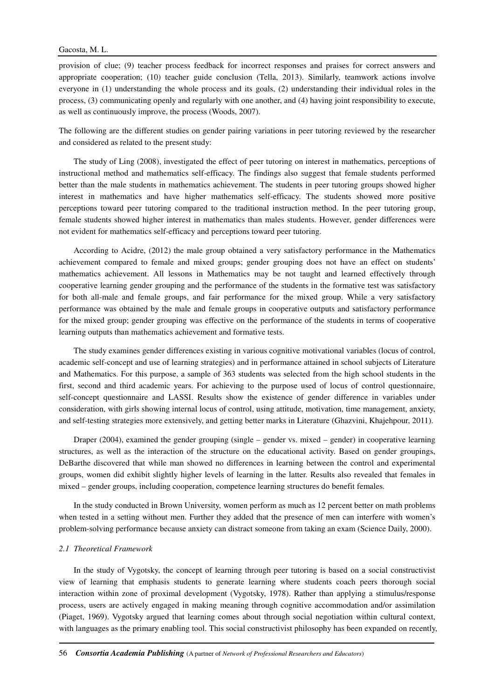provision of clue; (9) teacher process feedback for incorrect responses and praises for correct answers and appropriate cooperation; (10) teacher guide conclusion (Tella, 2013). Similarly, teamwork actions involve everyone in (1) understanding the whole process and its goals, (2) understanding their individual roles in the process, (3) communicating openly and regularly with one another, and (4) having joint responsibility to execute, as well as continuously improve, the process (Woods, 2007).

The following are the different studies on gender pairing variations in peer tutoring reviewed by the researcher and considered as related to the present study:

The study of Ling (2008), investigated the effect of peer tutoring on interest in mathematics, perceptions of instructional method and mathematics self-efficacy. The findings also suggest that female students performed better than the male students in mathematics achievement. The students in peer tutoring groups showed higher interest in mathematics and have higher mathematics self-efficacy. The students showed more positive perceptions toward peer tutoring compared to the traditional instruction method. In the peer tutoring group, female students showed higher interest in mathematics than males students. However, gender differences were not evident for mathematics self-efficacy and perceptions toward peer tutoring.

According to Acidre, (2012) the male group obtained a very satisfactory performance in the Mathematics achievement compared to female and mixed groups; gender grouping does not have an effect on students' mathematics achievement. All lessons in Mathematics may be not taught and learned effectively through cooperative learning gender grouping and the performance of the students in the formative test was satisfactory for both all-male and female groups, and fair performance for the mixed group. While a very satisfactory performance was obtained by the male and female groups in cooperative outputs and satisfactory performance for the mixed group; gender grouping was effective on the performance of the students in terms of cooperative learning outputs than mathematics achievement and formative tests.

The study examines gender differences existing in various cognitive motivational variables (locus of control, academic self-concept and use of learning strategies) and in performance attained in school subjects of Literature and Mathematics. For this purpose, a sample of 363 students was selected from the high school students in the first, second and third academic years. For achieving to the purpose used of locus of control questionnaire, self-concept questionnaire and LASSI. Results show the existence of gender difference in variables under consideration, with girls showing internal locus of control, using attitude, motivation, time management, anxiety, and self-testing strategies more extensively, and getting better marks in Literature (Ghazvini, Khajehpour, 2011).

Draper (2004), examined the gender grouping (single – gender vs. mixed – gender) in cooperative learning structures, as well as the interaction of the structure on the educational activity. Based on gender groupings, DeBarthe discovered that while man showed no differences in learning between the control and experimental groups, women did exhibit slightly higher levels of learning in the latter. Results also revealed that females in mixed – gender groups, including cooperation, competence learning structures do benefit females.

In the study conducted in Brown University, women perform as much as 12 percent better on math problems when tested in a setting without men. Further they added that the presence of men can interfere with women's problem-solving performance because anxiety can distract someone from taking an exam (Science Daily, 2000).

#### *2.1 Theoretical Framework*

In the study of Vygotsky, the concept of learning through peer tutoring is based on a social constructivist view of learning that emphasis students to generate learning where students coach peers thorough social interaction within zone of proximal development (Vygotsky, 1978). Rather than applying a stimulus/response process, users are actively engaged in making meaning through cognitive accommodation and/or assimilation (Piaget, 1969). Vygotsky argued that learning comes about through social negotiation within cultural context, with languages as the primary enabling tool. This social constructivist philosophy has been expanded on recently,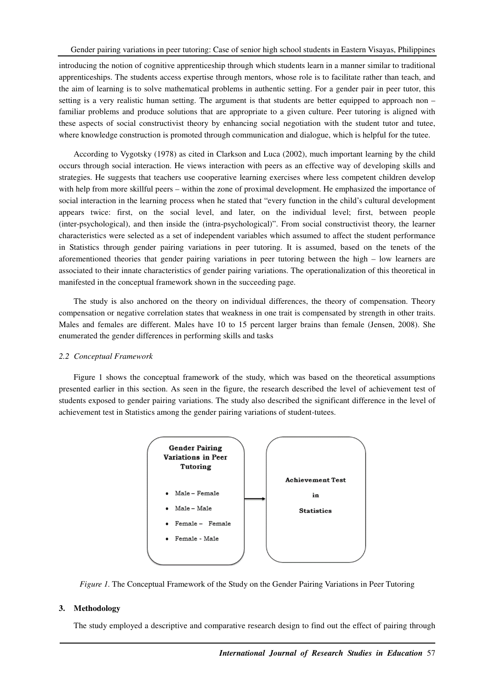introducing the notion of cognitive apprenticeship through which students learn in a manner similar to traditional apprenticeships. The students access expertise through mentors, whose role is to facilitate rather than teach, and the aim of learning is to solve mathematical problems in authentic setting. For a gender pair in peer tutor, this setting is a very realistic human setting. The argument is that students are better equipped to approach non – familiar problems and produce solutions that are appropriate to a given culture. Peer tutoring is aligned with these aspects of social constructivist theory by enhancing social negotiation with the student tutor and tutee, where knowledge construction is promoted through communication and dialogue, which is helpful for the tutee.

According to Vygotsky (1978) as cited in Clarkson and Luca (2002), much important learning by the child occurs through social interaction. He views interaction with peers as an effective way of developing skills and strategies. He suggests that teachers use cooperative learning exercises where less competent children develop with help from more skillful peers – within the zone of proximal development. He emphasized the importance of social interaction in the learning process when he stated that "every function in the child's cultural development appears twice: first, on the social level, and later, on the individual level; first, between people (inter-psychological), and then inside the (intra-psychological)". From social constructivist theory, the learner characteristics were selected as a set of independent variables which assumed to affect the student performance in Statistics through gender pairing variations in peer tutoring. It is assumed, based on the tenets of the aforementioned theories that gender pairing variations in peer tutoring between the high – low learners are associated to their innate characteristics of gender pairing variations. The operationalization of this theoretical in manifested in the conceptual framework shown in the succeeding page.

The study is also anchored on the theory on individual differences, the theory of compensation. Theory compensation or negative correlation states that weakness in one trait is compensated by strength in other traits. Males and females are different. Males have 10 to 15 percent larger brains than female (Jensen, 2008). She enumerated the gender differences in performing skills and tasks

#### *2.2 Conceptual Framework*

Figure 1 shows the conceptual framework of the study, which was based on the theoretical assumptions presented earlier in this section. As seen in the figure, the research described the level of achievement test of students exposed to gender pairing variations. The study also described the significant difference in the level of achievement test in Statistics among the gender pairing variations of student-tutees.



*Figure 1.* The Conceptual Framework of the Study on the Gender Pairing Variations in Peer Tutoring

## **3. Methodology**

The study employed a descriptive and comparative research design to find out the effect of pairing through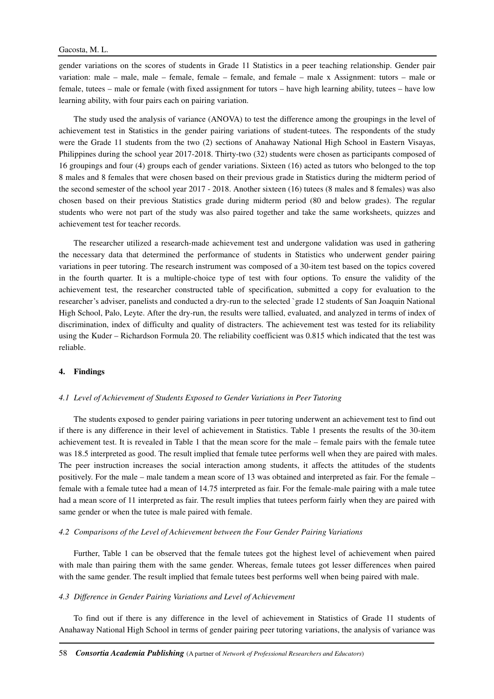gender variations on the scores of students in Grade 11 Statistics in a peer teaching relationship. Gender pair variation: male – male, male – female, female – female, and female – male x Assignment: tutors – male or female, tutees – male or female (with fixed assignment for tutors – have high learning ability, tutees – have low learning ability, with four pairs each on pairing variation.

The study used the analysis of variance (ANOVA) to test the difference among the groupings in the level of achievement test in Statistics in the gender pairing variations of student-tutees. The respondents of the study were the Grade 11 students from the two (2) sections of Anahaway National High School in Eastern Visayas, Philippines during the school year 2017-2018. Thirty-two (32) students were chosen as participants composed of 16 groupings and four (4) groups each of gender variations. Sixteen (16) acted as tutors who belonged to the top 8 males and 8 females that were chosen based on their previous grade in Statistics during the midterm period of the second semester of the school year 2017 - 2018. Another sixteen (16) tutees (8 males and 8 females) was also chosen based on their previous Statistics grade during midterm period (80 and below grades). The regular students who were not part of the study was also paired together and take the same worksheets, quizzes and achievement test for teacher records.

The researcher utilized a research-made achievement test and undergone validation was used in gathering the necessary data that determined the performance of students in Statistics who underwent gender pairing variations in peer tutoring. The research instrument was composed of a 30-item test based on the topics covered in the fourth quarter. It is a multiple-choice type of test with four options. To ensure the validity of the achievement test, the researcher constructed table of specification, submitted a copy for evaluation to the researcher's adviser, panelists and conducted a dry-run to the selected `grade 12 students of San Joaquin National High School, Palo, Leyte. After the dry-run, the results were tallied, evaluated, and analyzed in terms of index of discrimination, index of difficulty and quality of distracters. The achievement test was tested for its reliability using the Kuder – Richardson Formula 20. The reliability coefficient was 0.815 which indicated that the test was reliable.

## **4. Findings**

#### *4.1 Level of Achievement of Students Exposed to Gender Variations in Peer Tutoring*

The students exposed to gender pairing variations in peer tutoring underwent an achievement test to find out if there is any difference in their level of achievement in Statistics. Table 1 presents the results of the 30-item achievement test. It is revealed in Table 1 that the mean score for the male – female pairs with the female tutee was 18.5 interpreted as good. The result implied that female tutee performs well when they are paired with males. The peer instruction increases the social interaction among students, it affects the attitudes of the students positively. For the male – male tandem a mean score of 13 was obtained and interpreted as fair. For the female – female with a female tutee had a mean of 14.75 interpreted as fair. For the female-male pairing with a male tutee had a mean score of 11 interpreted as fair. The result implies that tutees perform fairly when they are paired with same gender or when the tutee is male paired with female.

## *4.2 Comparisons of the Level of Achievement between the Four Gender Pairing Variations*

Further, Table 1 can be observed that the female tutees got the highest level of achievement when paired with male than pairing them with the same gender. Whereas, female tutees got lesser differences when paired with the same gender. The result implied that female tutees best performs well when being paired with male.

#### *4.3 Difference in Gender Pairing Variations and Level of Achievement*

To find out if there is any difference in the level of achievement in Statistics of Grade 11 students of Anahaway National High School in terms of gender pairing peer tutoring variations, the analysis of variance was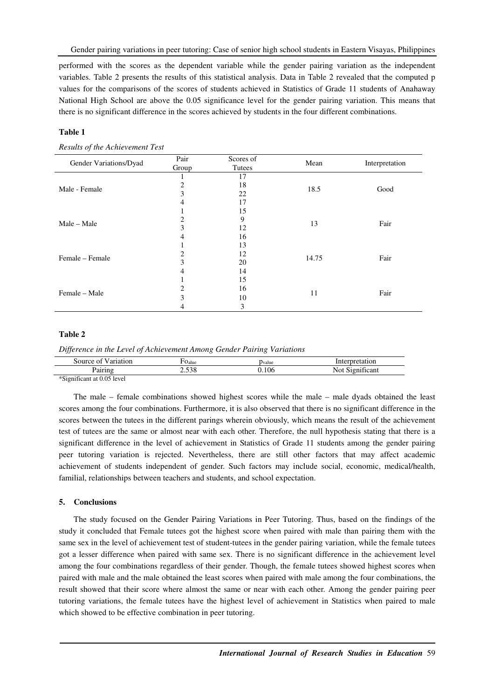performed with the scores as the dependent variable while the gender pairing variation as the independent variables. Table 2 presents the results of this statistical analysis. Data in Table 2 revealed that the computed p values for the comparisons of the scores of students achieved in Statistics of Grade 11 students of Anahaway National High School are above the 0.05 significance level for the gender pairing variation. This means that there is no significant difference in the scores achieved by students in the four different combinations.

## **Table 1**

## *Results of the Achievement Test*

| Gender Variations/Dyad | Pair  | Scores of | Mean  | Interpretation |
|------------------------|-------|-----------|-------|----------------|
|                        | Group | Tutees    |       |                |
| Male - Female          |       | 17        |       | Good           |
|                        | 2     | 18        | 18.5  |                |
|                        | 3     | 22        |       |                |
|                        | 17    |           |       |                |
|                        |       | 15        | 13    | Fair           |
| Male - Male            | 2     | 9         |       |                |
|                        | 3     | 12        |       |                |
|                        |       | 16        |       |                |
| Female – Female        |       | 13        |       | Fair           |
|                        |       | 12        |       |                |
|                        | 3     | 20        | 14.75 |                |
|                        |       | 14        |       |                |
| Female - Male          |       | 15        |       | Fair           |
|                        |       | 16        |       |                |
|                        | 3     | 10        | 11    |                |
|                        |       | 3         |       |                |

## **Table 2**

*Difference in the Level of Achievement Among Gender Pairing Variations* 

| omoti<br>ource.<br>10r                                                     | Oalue        | <b>Tyalue</b>    | '10n               |
|----------------------------------------------------------------------------|--------------|------------------|--------------------|
| $-$<br>,,,,,,,,                                                            | 500<br>2.990 | $\Omega$<br>' UL | $\sim$<br>$\alpha$ |
| 1.01<br>$\cdot$ $\sim$<br>$\cdot$ $\cdot$ $\wedge$ $\wedge$ $\sim$ $\cdot$ |              |                  |                    |

\*Significant at 0.05 level

The male – female combinations showed highest scores while the male – male dyads obtained the least scores among the four combinations. Furthermore, it is also observed that there is no significant difference in the scores between the tutees in the different parings wherein obviously, which means the result of the achievement test of tutees are the same or almost near with each other. Therefore, the null hypothesis stating that there is a significant difference in the level of achievement in Statistics of Grade 11 students among the gender pairing peer tutoring variation is rejected. Nevertheless, there are still other factors that may affect academic achievement of students independent of gender. Such factors may include social, economic, medical/health, familial, relationships between teachers and students, and school expectation.

## **5. Conclusions**

The study focused on the Gender Pairing Variations in Peer Tutoring. Thus, based on the findings of the study it concluded that Female tutees got the highest score when paired with male than pairing them with the same sex in the level of achievement test of student-tutees in the gender pairing variation, while the female tutees got a lesser difference when paired with same sex. There is no significant difference in the achievement level among the four combinations regardless of their gender. Though, the female tutees showed highest scores when paired with male and the male obtained the least scores when paired with male among the four combinations, the result showed that their score where almost the same or near with each other. Among the gender pairing peer tutoring variations, the female tutees have the highest level of achievement in Statistics when paired to male which showed to be effective combination in peer tutoring.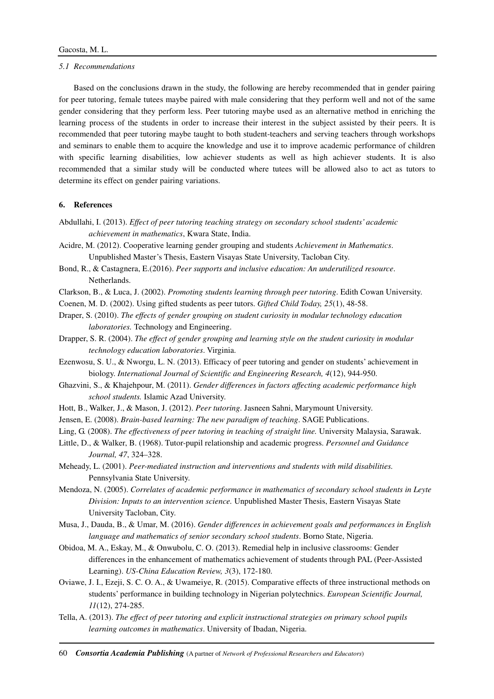#### *5.1 Recommendations*

Based on the conclusions drawn in the study, the following are hereby recommended that in gender pairing for peer tutoring, female tutees maybe paired with male considering that they perform well and not of the same gender considering that they perform less. Peer tutoring maybe used as an alternative method in enriching the learning process of the students in order to increase their interest in the subject assisted by their peers. It is recommended that peer tutoring maybe taught to both student-teachers and serving teachers through workshops and seminars to enable them to acquire the knowledge and use it to improve academic performance of children with specific learning disabilities, low achiever students as well as high achiever students. It is also recommended that a similar study will be conducted where tutees will be allowed also to act as tutors to determine its effect on gender pairing variations.

## **6. References**

- Abdullahi, I. (2013). *Effect of peer tutoring teaching strategy on secondary school students' academic achievement in mathematics*, Kwara State, India.
- Acidre, M. (2012). Cooperative learning gender grouping and students *Achievement in Mathematics*. Unpublished Master's Thesis, Eastern Visayas State University, Tacloban City.
- Bond, R., & Castagnera, E.(2016). *Peer supports and inclusive education: An underutilized resource*. Netherlands.
- Clarkson, B., & Luca, J. (2002). *Promoting students learning through peer tutoring*. Edith Cowan University.
- Coenen, M. D. (2002). Using gifted students as peer tutors. *Gifted Child Today, 25*(1), 48-58.
- Draper, S. (2010). *The effects of gender grouping on student curiosity in modular technology education laboratories.* Technology and Engineering.
- Drapper, S. R. (2004). *The effect of gender grouping and learning style on the student curiosity in modular technology education laboratories*. Virginia.
- Ezenwosu, S. U., & Nworgu, L. N. (2013). Efficacy of peer tutoring and gender on students' achievement in biology. *International Journal of Scientific and Engineering Research, 4*(12), 944-950.
- Ghazvini, S., & Khajehpour, M. (2011). *Gender differences in factors affecting academic performance high school students.* Islamic Azad University.
- Hott, B., Walker, J., & Mason, J. (2012). *Peer tutoring*. Jasneen Sahni, Marymount University.
- Jensen, E. (2008). *Brain-based learning: The new paradigm of teaching*. SAGE Publications.
- Ling, G. (2008). *The effectiveness of peer tutoring in teaching of straight line.* University Malaysia, Sarawak.
- Little, D., & Walker, B. (1968). Tutor-pupil relationship and academic progress. *Personnel and Guidance Journal, 47*, 324–328.
- Meheady, L. (2001). *Peer-mediated instruction and interventions and students with mild disabilities.* Pennsylvania State University.
- Mendoza, N. (2005). *Correlates of academic performance in mathematics of secondary school students in Leyte Division: Inputs to an intervention science.* Unpublished Master Thesis, Eastern Visayas State University Tacloban, City.
- Musa, J., Dauda, B., & Umar, M. (2016). *Gender differences in achievement goals and performances in English language and mathematics of senior secondary school students*. Borno State, Nigeria.
- Obidoa, M. A., Eskay, M., & Onwubolu, C. O. (2013). Remedial help in inclusive classrooms: Gender differences in the enhancement of mathematics achievement of students through PAL (Peer-Assisted Learning). *US-China Education Review, 3*(3), 172-180.
- Oviawe, J. I., Ezeji, S. C. O. A., & Uwameiye, R. (2015). Comparative effects of three instructional methods on students' performance in building technology in Nigerian polytechnics. *European Scientific Journal, 11*(12), 274-285.
- Tella, A. (2013). *The effect of peer tutoring and explicit instructional strategies on primary school pupils learning outcomes in mathematics*. University of Ibadan, Nigeria.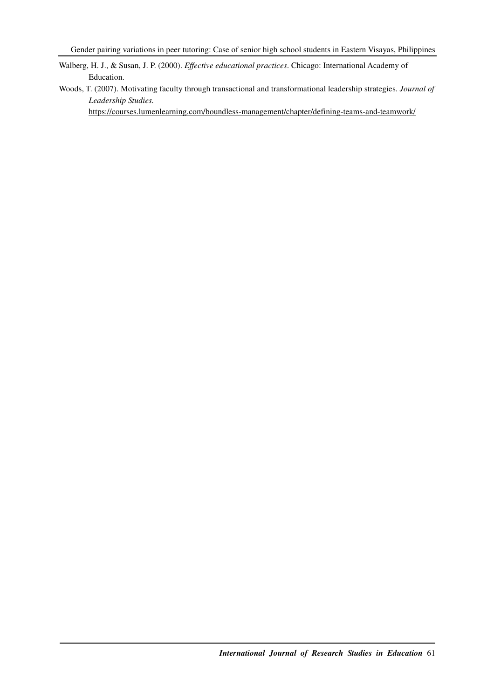Walberg, H. J., & Susan, J. P. (2000). *Effective educational practices*. Chicago: International Academy of Education.

Woods, T. (2007). Motivating faculty through transactional and transformational leadership strategies. *Journal of Leadership Studies.* 

https://courses.lumenlearning.com/boundless-management/chapter/defining-teams-and-teamwork/